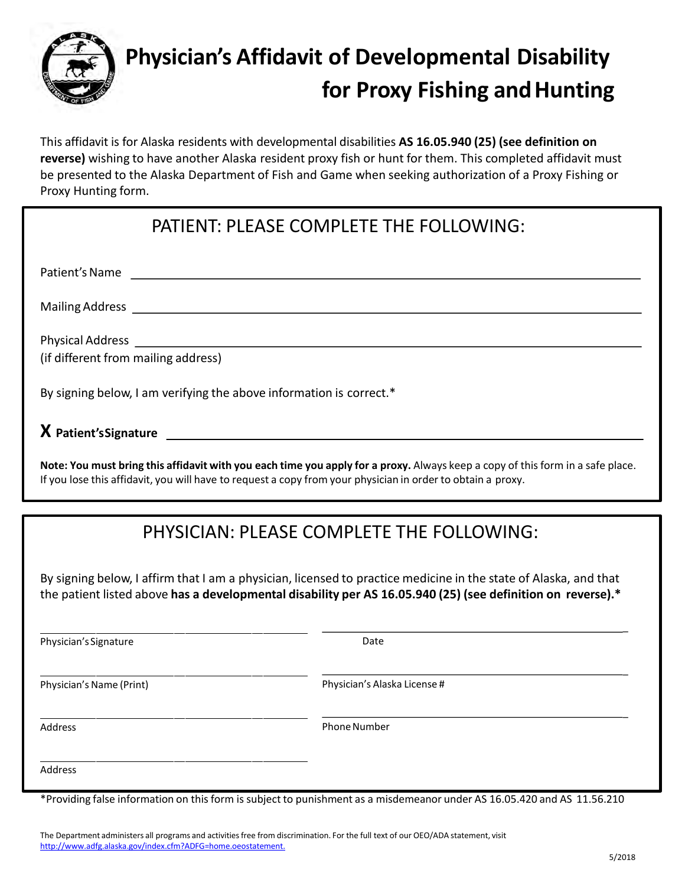

This affidavit is for Alaska residents with developmental disabilities **AS 16.05.940 (25) (see definition on reverse)** wishing to have another Alaska resident proxy fish or hunt for them. This completed affidavit must be presented to the Alaska Department of Fish and Game when seeking authorization of a Proxy Fishing or Proxy Hunting form.

## PATIENT: PLEASE COMPLETE THE FOLLOWING:

Patient's Name and the state of the state of the state of the state of the state of the state of the state of the state of the state of the state of the state of the state of the state of the state of the state of the stat

Mailing Address **Lawrence and Science and Science and Science and Science and Science and Science and Science and Science and Science and Science and Science and Science and Science and Science and Science and Science and** 

Physical Address

(if different from mailing address)

By signing below, I am verifying the above information is correct.\*

**X Patient'sSignature** 

**Note: You must bring this affidavit with you each time you apply for a proxy.** Always keep a copy of this form in a safe place. If you lose this affidavit, you will have to request a copy from your physician in order to obtain a proxy.

## PHYSICIAN: PLEASE COMPLETE THE FOLLOWING:

By signing below, I affirm that I am a physician, licensed to practice medicine in the state of Alaska, and that the patient listed above **has a developmental disability per AS 16.05.940 (25) (see definition on reverse).\***

| Physician's Signature    | Date                         |  |
|--------------------------|------------------------------|--|
| Physician's Name (Print) | Physician's Alaska License # |  |
| Address                  | Phone Number                 |  |
| Address                  |                              |  |

\*Providing false information on this form is subject to punishment as a misdemeanor under AS 16.05.420 and AS 11.56.210

The Department administers all programs and activities free from discrimination. For the full text of our OEO/ADA statement, visit [http://www.adfg.alaska.gov/index.cfm?ADFG=home.oeostatement.](http://www.adfg.alaska.gov/index.cfm?ADFG=home.oeostatement)